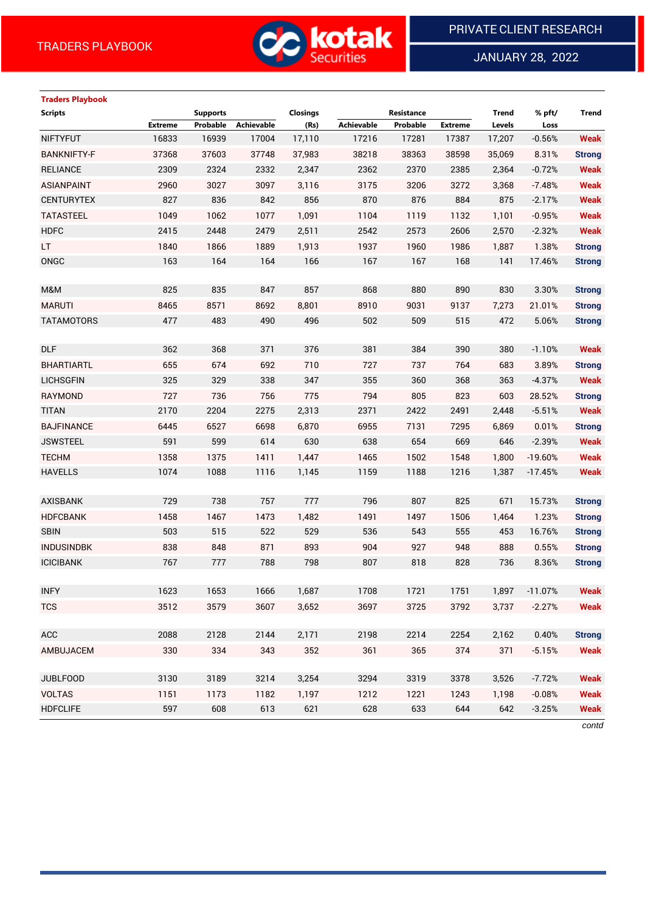

JANUARY 28, 2022

### **Traders Playbook**

| <b>Scripts</b>     |                | <b>Supports</b> |                   | <b>Closings</b> |                   | Resistance |                | <b>Trend</b> | % pft/        | <b>Trend</b>  |
|--------------------|----------------|-----------------|-------------------|-----------------|-------------------|------------|----------------|--------------|---------------|---------------|
|                    | <b>Extreme</b> | Probable        | <b>Achievable</b> | (Rs)            | <b>Achievable</b> | Probable   | <b>Extreme</b> | Levels       | Loss          |               |
| <b>NIFTYFUT</b>    | 16833          | 16939           | 17004             | 17,110          | 17216             | 17281      | 17387          | 17,207       | $-0.56%$      | <b>Weak</b>   |
| <b>BANKNIFTY-F</b> | 37368          | 37603           | 37748             | 37,983          | 38218             | 38363      | 38598          | 35,069       | 8.31%         | <b>Strong</b> |
| <b>RELIANCE</b>    | 2309           | 2324            | 2332              | 2,347           | 2362              | 2370       | 2385           | 2,364        | $-0.72%$      | <b>Weak</b>   |
| <b>ASIANPAINT</b>  | 2960           | 3027            | 3097              | 3,116           | 3175              | 3206       | 3272           | 3,368        | $-7.48%$      | <b>Weak</b>   |
| <b>CENTURYTEX</b>  | 827            | 836             | 842               | 856             | 870               | 876        | 884            | 875          | $-2.17%$      | <b>Weak</b>   |
| <b>TATASTEEL</b>   | 1049           | 1062            | 1077              | 1,091           | 1104              | 1119       | 1132           | 1,101        | $-0.95%$      | <b>Weak</b>   |
| <b>HDFC</b>        | 2415           | 2448            | 2479              | 2,511           | 2542              | 2573       | 2606           | 2,570        | $-2.32%$      | <b>Weak</b>   |
| LT.                | 1840           | 1866            | 1889              | 1,913           | 1937              | 1960       | 1986           | 1,887        | 1.38%         | <b>Strong</b> |
| ONGC               | 163            | 164             | 164               | 166             | 167               | 167        | 168            | 141          | 17.46%        | <b>Strong</b> |
|                    |                |                 |                   |                 |                   |            |                |              |               |               |
| M&M                | 825            | 835             | 847               | 857             | 868               | 880        | 890            | 830          | 3.30%         | <b>Strong</b> |
| <b>MARUTI</b>      | 8465           | 8571            | 8692              | 8,801           | 8910              | 9031       | 9137           | 7,273        | 21.01%        | <b>Strong</b> |
| <b>TATAMOTORS</b>  | 477            | 483             | 490               | 496             | 502               | 509        | 515            | 472          | 5.06%         | <b>Strong</b> |
|                    |                |                 |                   |                 |                   |            |                |              |               |               |
| <b>DLF</b>         | 362            | 368             | 371               | 376             | 381               | 384        | 390            | 380          | $-1.10%$      | <b>Weak</b>   |
| <b>BHARTIARTL</b>  | 655            | 674             | 692               | 710             | 727               | 737        | 764            | 683          | 3.89%         | <b>Strong</b> |
| <b>LICHSGFIN</b>   | 325            | 329             | 338               | 347             | 355               | 360        | 368            | 363          | $-4.37%$      | <b>Weak</b>   |
| <b>RAYMOND</b>     | 727            | 736             | 756               | 775             | 794               | 805        | 823            | 603          | 28.52%        | <b>Strong</b> |
| <b>TITAN</b>       | 2170           | 2204            | 2275              | 2,313           | 2371              | 2422       | 2491           | 2,448        | $-5.51%$      | <b>Weak</b>   |
| <b>BAJFINANCE</b>  | 6445           | 6527            | 6698              | 6,870           | 6955              | 7131       | 7295           | 6,869        | 0.01%         | <b>Strong</b> |
| <b>JSWSTEEL</b>    | 591            | 599             | 614               | 630             | 638               | 654        | 669            | 646          | $-2.39%$      | <b>Weak</b>   |
| <b>TECHM</b>       | 1358           | 1375            | 1411              | 1,447           | 1465              | 1502       | 1548           | 1,800        | $-19.60%$     | <b>Weak</b>   |
| <b>HAVELLS</b>     | 1074           | 1088            | 1116              | 1,145           | 1159              | 1188       | 1216           | 1,387        | $-17.45%$     | <b>Weak</b>   |
|                    |                |                 |                   |                 |                   |            |                |              |               |               |
| <b>AXISBANK</b>    | 729            | 738             | 757               | 777             | 796               | 807        | 825            | 671          | 15.73%        | <b>Strong</b> |
| <b>HDFCBANK</b>    | 1458           | 1467            | 1473              | 1,482           | 1491              | 1497       | 1506           | 1,464        | 1.23%         | <b>Strong</b> |
| <b>SBIN</b>        | 503            | 515             | 522               | 529             | 536               | 543        | 555            | 453          | 16.76%        | <b>Strong</b> |
| <b>INDUSINDBK</b>  | 838            | 848             | 871               | 893             | 904               | 927        | 948            | 888          | 0.55%         | <b>Strong</b> |
| <b>ICICIBANK</b>   | 767            | 777             | 788               | 798             | 807               | 818        | 828            | 736          | 8.36%         | <b>Strong</b> |
|                    |                |                 |                   |                 |                   |            |                |              |               |               |
| <b>INFY</b>        | 1623           | 1653            | 1666              | 1,687           | 1708              | 1721       | 1751           |              | 1,897 -11.07% | <b>Weak</b>   |
| <b>TCS</b>         | 3512           | 3579            | 3607              | 3,652           | 3697              | 3725       | 3792           | 3,737        | $-2.27%$      | <b>Weak</b>   |
|                    |                |                 |                   |                 |                   |            |                |              |               |               |
| ACC                | 2088           | 2128            | 2144              | 2,171           | 2198              | 2214       | 2254           | 2,162        | 0.40%         | <b>Strong</b> |
| AMBUJACEM          | 330            | 334             | 343               | 352             | 361               | 365        | 374            | 371          | $-5.15%$      | <b>Weak</b>   |
|                    |                |                 |                   |                 |                   |            |                |              |               |               |
| <b>JUBLFOOD</b>    | 3130           | 3189            | 3214              | 3,254           | 3294              | 3319       | 3378           | 3,526        | $-7.72%$      | <b>Weak</b>   |
| <b>VOLTAS</b>      | 1151           | 1173            | 1182              | 1,197           | 1212              | 1221       | 1243           | 1,198        | $-0.08%$      | <b>Weak</b>   |
| <b>HDFCLIFE</b>    | 597            | 608             | 613               | 621             | 628               | 633        | 644            | 642          | $-3.25%$      | <b>Weak</b>   |
|                    |                |                 |                   |                 |                   |            |                |              |               | contd         |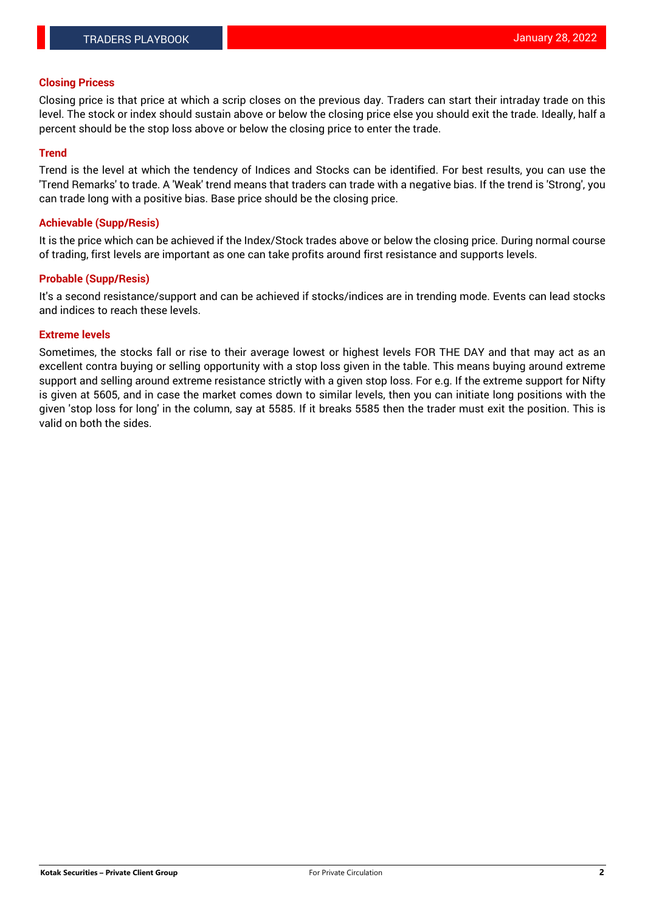#### **Closing Pricess**

Closing price is that price at which a scrip closes on the previous day. Traders can start their intraday trade on this level. The stock or index should sustain above or below the closing price else you should exit the trade. Ideally, half a percent should be the stop loss above or below the closing price to enter the trade.

#### **Trend**

Trend is the level at which the tendency of Indices and Stocks can be identified. For best results, you can use the 'Trend Remarks' to trade. A 'Weak' trend means that traders can trade with a negative bias. If the trend is 'Strong', you can trade long with a positive bias. Base price should be the closing price.

#### **Achievable (Supp/Resis)**

It is the price which can be achieved if the Index/Stock trades above or below the closing price. During normal course of trading, first levels are important as one can take profits around first resistance and supports levels.

#### **Probable (Supp/Resis)**

It's a second resistance/support and can be achieved if stocks/indices are in trending mode. Events can lead stocks and indices to reach these levels.

#### **Extreme levels**

Sometimes, the stocks fall or rise to their average lowest or highest levels FOR THE DAY and that may act as an excellent contra buying or selling opportunity with a stop loss given in the table. This means buying around extreme support and selling around extreme resistance strictly with a given stop loss. For e.g. If the extreme support for Nifty is given at 5605, and in case the market comes down to similar levels, then you can initiate long positions with the given 'stop loss for long' in the column, say at 5585. If it breaks 5585 then the trader must exit the position. This is valid on both the sides.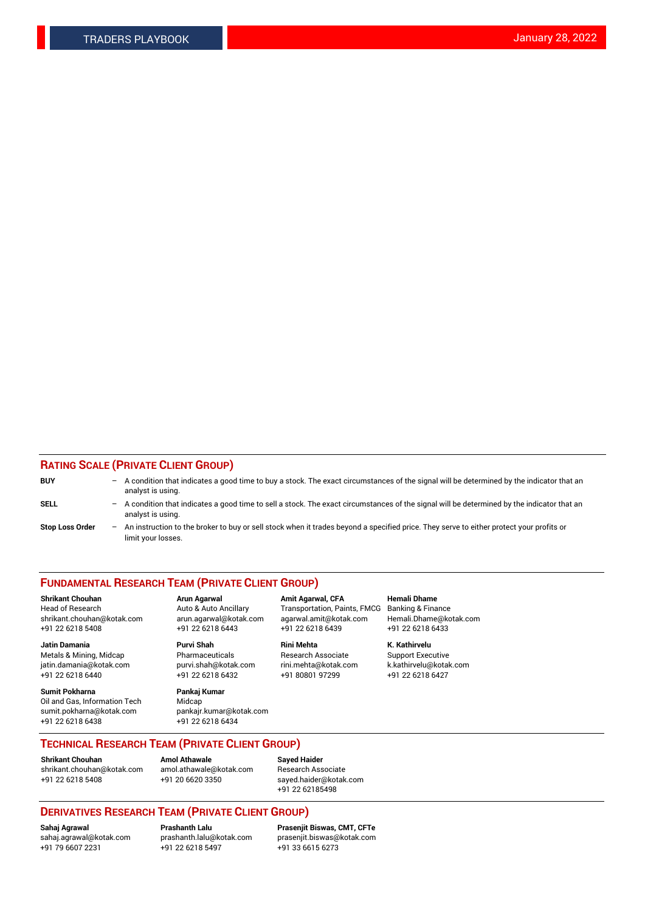### **RATING SCALE (PRIVATE CLIENT GROUP)**

| <b>BUY</b>             | $-$ A condition that indicates a good time to buy a stock. The exact circumstances of the signal will be determined by the indicator that an<br>analyst is using.  |
|------------------------|--------------------------------------------------------------------------------------------------------------------------------------------------------------------|
| <b>SELL</b>            | $-$ A condition that indicates a good time to sell a stock. The exact circumstances of the signal will be determined by the indicator that an<br>analyst is using. |
| <b>Stop Loss Order</b> | - An instruction to the broker to buy or sell stock when it trades beyond a specified price. They serve to either protect your profits or<br>limit your losses.    |

#### **FUNDAMENTAL RESEARCH TEAM (PRIVATE CLIENT GROUP)**

**Shrikant Chouhan Arun Agarwal Amit Agarwal, CFA Hemali Dhame** Head of Research **Auto & Auto Ancillary** Transportation, Paints, FMCG Banking & Finance shrikant.chouhan@kotak.com arun.agarwal@kotak.com agarwal.amit@kotak.com Hemali.Dhame@kotak.com

**Jatin Damania Purvi Shah Rini Mehta K. Kathirvelu** Metals & Mining, Midcap **Pharmaceuticals** Research Associate Support Executive jatin.damania@kotak.com [purvi.shah@kotak.com](mailto:purvi.shah@kotak.com) rini.mehta@kotak.com [k.kathirvelu@kotak.com](mailto:k.kathirvelu@kotak.com) +91 22 6218 6440 +91 22 6218 6432 +91 80801 97299 +91 22 6218 6427

**Sumit Pokharna Pankaj Kumar** Oil and Gas, Information Tech Midcap<br>sumit.pokharna@kotak.com bankair. +91 22 6218 6438 +91 22 6218 6434

sumit.pokharna@kotak.com pankajr.kumar@kotak.com

+91 22 6218 5408 +91 22 6218 6443 +91 22 6218 6439 +91 22 6218 6433

**TECHNICAL RESEARCH TEAM (PRIVATE CLIENT GROUP)**

#### **Shrikant Chouhan Amol Athawale**<br> **Amol Athawale** @kotak.com **Busisms** Research Ass [shrikant.chouhan@kotak.com](mailto:shrikant.chouhan@kotak.com) [amol.athawale@kotak.com](mailto:amol.athawale@kotak.com) Research Associate +91 22 6218 5408 +91 20 6620 3350 [sayed.haider@kotak.com](mailto:sayed.haider@kotak.com)

+91 22 62185498

# **DERIVATIVES RESEARCH TEAM (PRIVATE CLIENT GROUP)**

 $+91$  22 6218 5497

**Sahaj Agrawal Prashanth Lalu Prasenjit Biswas, CMT, CFTe** [sahaj.agrawal@kotak.com](mailto:sahaj.agrawal@kotak.com) [prashanth.lalu@kotak.com](mailto:prashanth.lalu@kotak.com) [prasenjit.biswas@kotak.com](mailto:prasenjit.biswas@kotak.com)